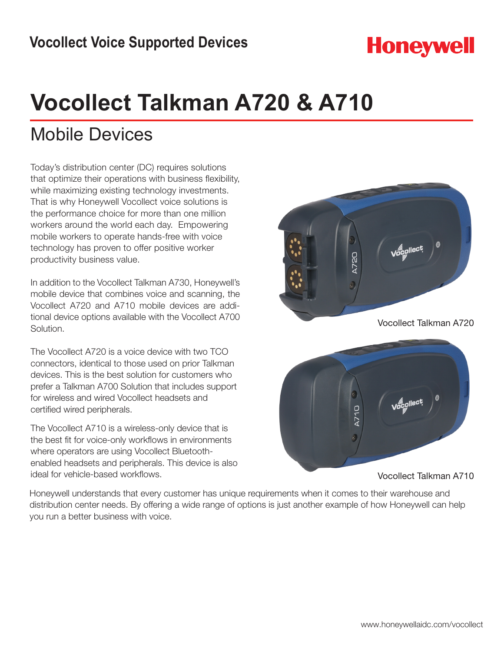## **Honeywell**

# **Vocollect Talkman A720 & A710**

### Mobile Devices

Today's distribution center (DC) requires solutions that optimize their operations with business flexibility, while maximizing existing technology investments. That is why Honeywell Vocollect voice solutions is the performance choice for more than one million workers around the world each day. Empowering mobile workers to operate hands-free with voice technology has proven to offer positive worker productivity business value.

In addition to the Vocollect Talkman A730, Honeywell's mobile device that combines voice and scanning, the Vocollect A720 and A710 mobile devices are additional device options available with the Vocollect A700 Solution.

The Vocollect A720 is a voice device with two TCO connectors, identical to those used on prior Talkman devices. This is the best solution for customers who prefer a Talkman A700 Solution that includes support for wireless and wired Vocollect headsets and certified wired peripherals.

The Vocollect A710 is a wireless-only device that is the best fit for voice-only workflows in environments where operators are using Vocollect Bluetoothenabled headsets and peripherals. This device is also ideal for vehicle-based workflows.



Vocollect Talkman A720



Vocollect Talkman A710

Honeywell understands that every customer has unique requirements when it comes to their warehouse and distribution center needs. By offering a wide range of options is just another example of how Honeywell can help you run a better business with voice.